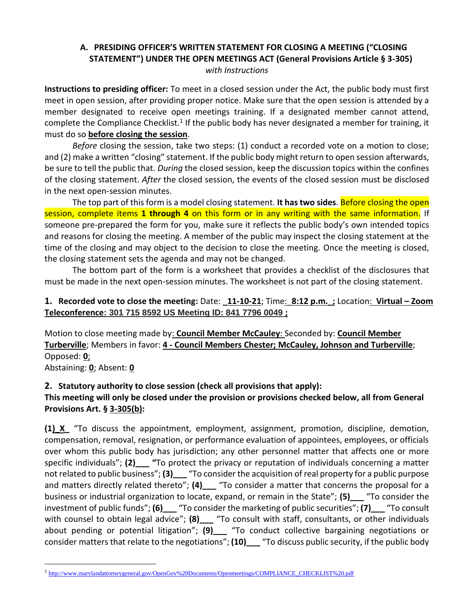# **A. PRESIDING OFFICER'S WRITTEN STATEMENT FOR CLOSING A MEETING ("CLOSING STATEMENT") UNDER THE OPEN MEETINGS ACT (General Provisions Article § 3-305)** *with Instructions*

**Instructions to presiding officer:** To meet in a closed session under the Act, the public body must first meet in open session, after providing proper notice. Make sure that the open session is attended by a member designated to receive open meetings training. If a designated member cannot attend, complete the Compliance Checklist.<sup>1</sup> If the public body has never designated a member for training, it must do so **before closing the session**.

*Before* closing the session, take two steps: (1) conduct a recorded vote on a motion to close; and (2) make a written "closing" statement. If the public body might return to open session afterwards, be sure to tell the public that. *During* the closed session, keep the discussion topics within the confines of the closing statement. *After* the closed session, the events of the closed session must be disclosed in the next open-session minutes.

The top part of this form is a model closing statement. **It has two sides**. Before closing the open session, complete items **1 through 4** on this form or in any writing with the same information. If someone pre-prepared the form for you, make sure it reflects the public body's own intended topics and reasons for closing the meeting. A member of the public may inspect the closing statement at the time of the closing and may object to the decision to close the meeting. Once the meeting is closed, the closing statement sets the agenda and may not be changed.

The bottom part of the form is a worksheet that provides a checklist of the disclosures that must be made in the next open-session minutes. The worksheet is not part of the closing statement.

# **1. Recorded vote to close the meeting:** Date: **\_11-10-21**; Time:\_**8:12 p.m.\_;** Location: **Virtual – Zoom Teleconference: 301 715 8592 US Meeting ID: 841 7796 0049 ;**

Motion to close meeting made by: **Council Member McCauley**: Seconded by: **Council Member Turberville**; Members in favor: **4 - Council Members Chester; McCauley, Johnson and Turberville**; Opposed: **0**;

Abstaining: **0**; Absent: **0**

# **2. Statutory authority to close session (check all provisions that apply):**

# **This meeting will only be closed under the provision or provisions checked below, all from General Provisions Art. § 3-305(b):**

**(1)\_X\_** "To discuss the appointment, employment, assignment, promotion, discipline, demotion, compensation, removal, resignation, or performance evaluation of appointees, employees, or officials over whom this public body has jurisdiction; any other personnel matter that affects one or more specific individuals"; (2) <sup>"</sup>To protect the privacy or reputation of individuals concerning a matter not related to public business"; **(3)\_\_\_** "To consider the acquisition of real property for a public purpose and matters directly related thereto"; **(4)\_\_\_** "To consider a matter that concerns the proposal for a business or industrial organization to locate, expand, or remain in the State"; **(5)\_\_\_** "To consider the investment of public funds"; **(6)\_\_\_** "To consider the marketing of public securities"; **(7)\_\_\_** "To consult with counsel to obtain legal advice"; **(8)** To consult with staff, consultants, or other individuals about pending or potential litigation"; **(9)\_\_\_** "To conduct collective bargaining negotiations or consider matters that relate to the negotiations"; **(10)\_\_\_** "To discuss public security, if the public body

<sup>&</sup>lt;sup>1</sup>[http://www.marylandattorneygeneral.gov/OpenGov%20Documents/Openmeetings/COMPLIANCE\\_CHECKLIST%20.pdf](http://www.marylandattorneygeneral.gov/OpenGov%20Documents/Openmeetings/COMPLIANCE_CHECKLIST%20.pdf)